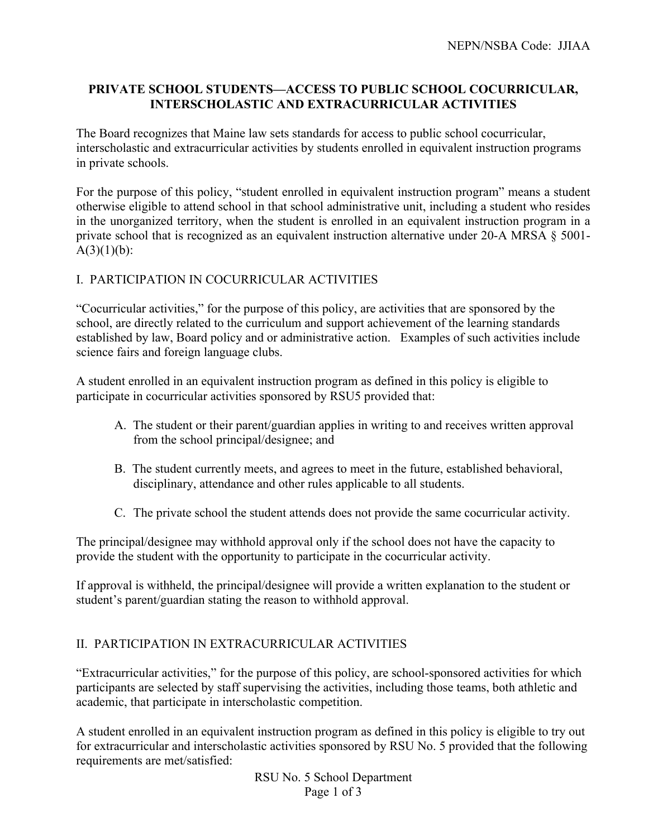# **PRIVATE SCHOOL STUDENTS—ACCESS TO PUBLIC SCHOOL COCURRICULAR, INTERSCHOLASTIC AND EXTRACURRICULAR ACTIVITIES**

The Board recognizes that Maine law sets standards for access to public school cocurricular, interscholastic and extracurricular activities by students enrolled in equivalent instruction programs in private schools.

For the purpose of this policy, "student enrolled in equivalent instruction program" means a student otherwise eligible to attend school in that school administrative unit, including a student who resides in the unorganized territory, when the student is enrolled in an equivalent instruction program in a private school that is recognized as an equivalent instruction alternative under 20-A MRSA § 5001-  $A(3)(1)(b)$ :

# I. PARTICIPATION IN COCURRICULAR ACTIVITIES

"Cocurricular activities," for the purpose of this policy, are activities that are sponsored by the school, are directly related to the curriculum and support achievement of the learning standards established by law, Board policy and or administrative action. Examples of such activities include science fairs and foreign language clubs.

A student enrolled in an equivalent instruction program as defined in this policy is eligible to participate in cocurricular activities sponsored by RSU5 provided that:

- A. The student or their parent/guardian applies in writing to and receives written approval from the school principal/designee; and
- B. The student currently meets, and agrees to meet in the future, established behavioral, disciplinary, attendance and other rules applicable to all students.
- C. The private school the student attends does not provide the same cocurricular activity.

The principal/designee may withhold approval only if the school does not have the capacity to provide the student with the opportunity to participate in the cocurricular activity.

If approval is withheld, the principal/designee will provide a written explanation to the student or student's parent/guardian stating the reason to withhold approval.

# II. PARTICIPATION IN EXTRACURRICULAR ACTIVITIES

"Extracurricular activities," for the purpose of this policy, are school-sponsored activities for which participants are selected by staff supervising the activities, including those teams, both athletic and academic, that participate in interscholastic competition.

A student enrolled in an equivalent instruction program as defined in this policy is eligible to try out for extracurricular and interscholastic activities sponsored by RSU No. 5 provided that the following requirements are met/satisfied:

> RSU No. 5 School Department Page 1 of 3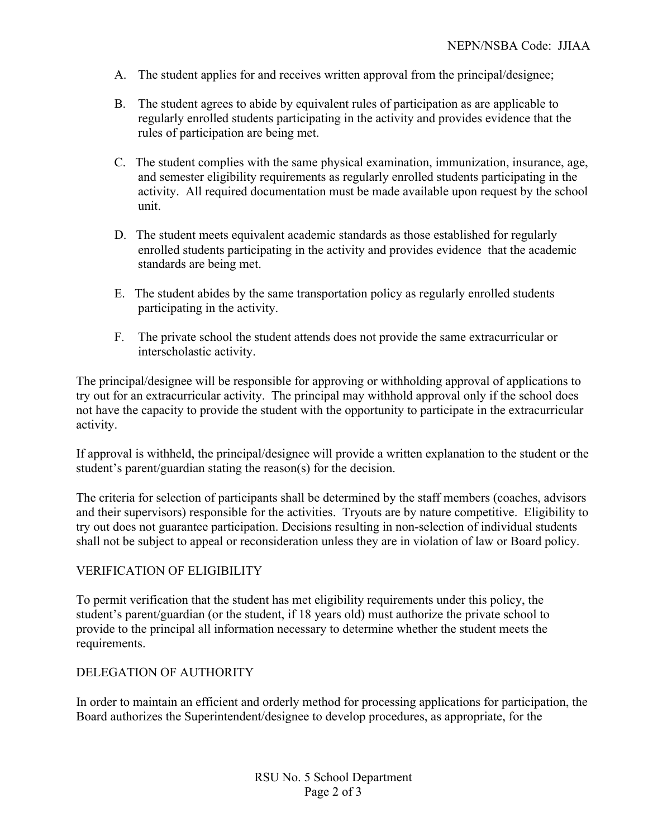- A. The student applies for and receives written approval from the principal/designee;
- B. The student agrees to abide by equivalent rules of participation as are applicable to regularly enrolled students participating in the activity and provides evidence that the rules of participation are being met.
- C. The student complies with the same physical examination, immunization, insurance, age, and semester eligibility requirements as regularly enrolled students participating in the activity. All required documentation must be made available upon request by the school unit.
- D. The student meets equivalent academic standards as those established for regularly enrolled students participating in the activity and provides evidence that the academic standards are being met.
- E. The student abides by the same transportation policy as regularly enrolled students participating in the activity.
- F. The private school the student attends does not provide the same extracurricular or interscholastic activity.

The principal/designee will be responsible for approving or withholding approval of applications to try out for an extracurricular activity. The principal may withhold approval only if the school does not have the capacity to provide the student with the opportunity to participate in the extracurricular activity.

If approval is withheld, the principal/designee will provide a written explanation to the student or the student's parent/guardian stating the reason(s) for the decision.

The criteria for selection of participants shall be determined by the staff members (coaches, advisors and their supervisors) responsible for the activities. Tryouts are by nature competitive. Eligibility to try out does not guarantee participation. Decisions resulting in non-selection of individual students shall not be subject to appeal or reconsideration unless they are in violation of law or Board policy.

# VERIFICATION OF ELIGIBILITY

To permit verification that the student has met eligibility requirements under this policy, the student's parent/guardian (or the student, if 18 years old) must authorize the private school to provide to the principal all information necessary to determine whether the student meets the requirements.

# DELEGATION OF AUTHORITY

In order to maintain an efficient and orderly method for processing applications for participation, the Board authorizes the Superintendent/designee to develop procedures, as appropriate, for the